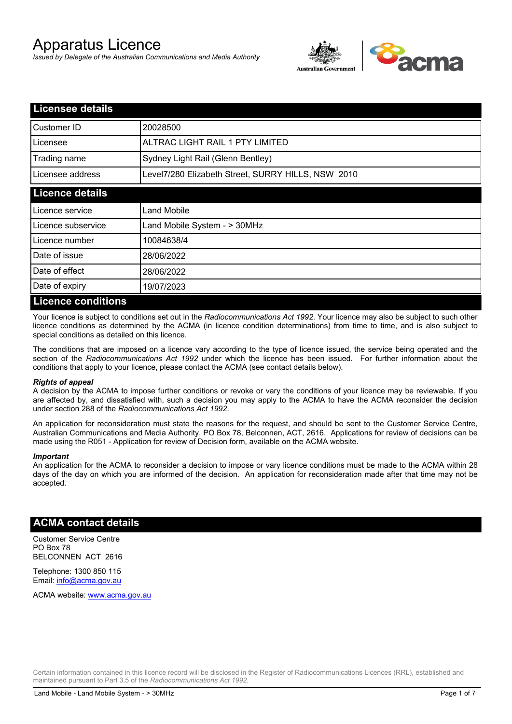# Apparatus Licence

*Issued by Delegate of the Australian Communications and Media Authority*



| <b>Licensee details</b>   |                                                    |  |  |
|---------------------------|----------------------------------------------------|--|--|
| Customer ID               | 20028500                                           |  |  |
| Licensee                  | ALTRAC LIGHT RAIL 1 PTY LIMITED                    |  |  |
| Trading name              | Sydney Light Rail (Glenn Bentley)                  |  |  |
| Licensee address          | Level7/280 Elizabeth Street, SURRY HILLS, NSW 2010 |  |  |
| <b>Licence details</b>    |                                                    |  |  |
| Licence service           | Land Mobile                                        |  |  |
| Licence subservice        | Land Mobile System - > 30MHz                       |  |  |
| Licence number            | 10084638/4                                         |  |  |
| Date of issue             | 28/06/2022                                         |  |  |
| Date of effect            | 28/06/2022                                         |  |  |
| Date of expiry            | 19/07/2023                                         |  |  |
| <b>Licence conditions</b> |                                                    |  |  |

Your licence is subject to conditions set out in the *Radiocommunications Act 1992*. Your licence may also be subject to such other licence conditions as determined by the ACMA (in licence condition determinations) from time to time, and is also subject to special conditions as detailed on this licence.

The conditions that are imposed on a licence vary according to the type of licence issued, the service being operated and the section of the *Radiocommunications Act 1992* under which the licence has been issued. For further information about the conditions that apply to your licence, please contact the ACMA (see contact details below).

#### *Rights of appeal*

A decision by the ACMA to impose further conditions or revoke or vary the conditions of your licence may be reviewable. If you are affected by, and dissatisfied with, such a decision you may apply to the ACMA to have the ACMA reconsider the decision under section 288 of the *Radiocommunications Act 1992*.

An application for reconsideration must state the reasons for the request, and should be sent to the Customer Service Centre, Australian Communications and Media Authority, PO Box 78, Belconnen, ACT, 2616. Applications for review of decisions can be made using the R051 - Application for review of Decision form, available on the ACMA website.

#### *Important*

An application for the ACMA to reconsider a decision to impose or vary licence conditions must be made to the ACMA within 28 days of the day on which you are informed of the decision. An application for reconsideration made after that time may not be accepted.

#### **ACMA contact details**

Customer Service Centre PO Box 78 BELCONNEN ACT 2616

Telephone: 1300 850 115 Email: info@acma.gov.au

ACMA website: www.acma.gov.au

Certain information contained in this licence record will be disclosed in the Register of Radiocommunications Licences (RRL), established and maintained pursuant to Part 3.5 of the *Radiocommunications Act 1992.*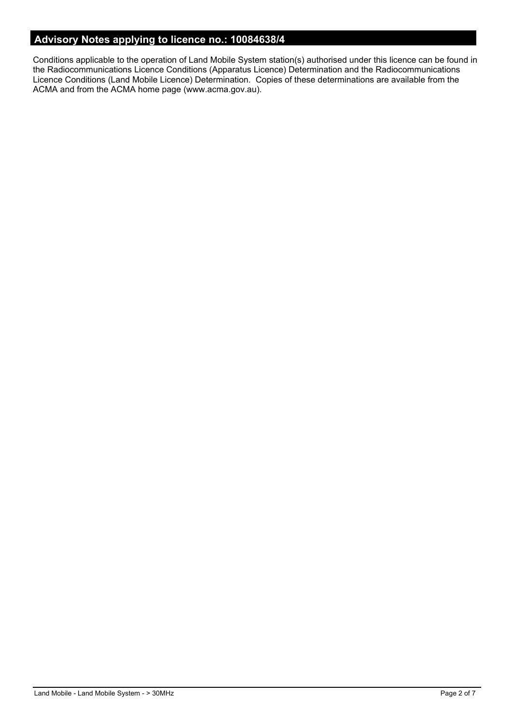### **Advisory Notes applying to licence no.: 10084638/4**

Conditions applicable to the operation of Land Mobile System station(s) authorised under this licence can be found in the Radiocommunications Licence Conditions (Apparatus Licence) Determination and the Radiocommunications Licence Conditions (Land Mobile Licence) Determination. Copies of these determinations are available from the ACMA and from the ACMA home page (www.acma.gov.au).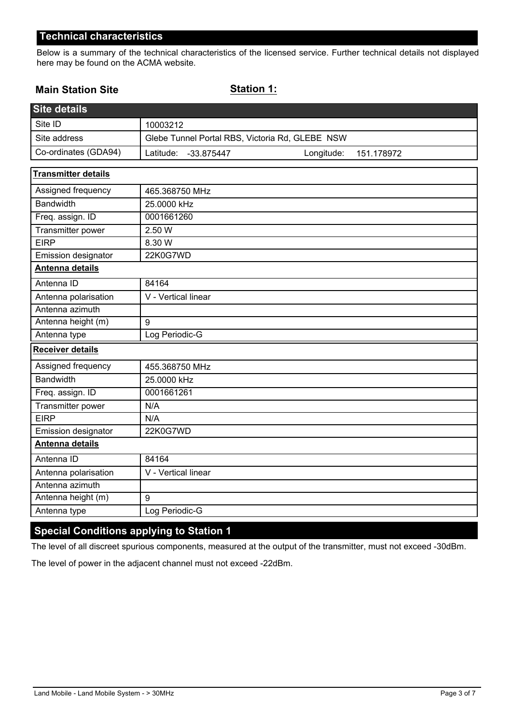Below is a summary of the technical characteristics of the licensed service. Further technical details not displayed here may be found on the ACMA website.

### **Main Station Site**

**Station 1:**

| <b>Site details</b>        |                                                     |
|----------------------------|-----------------------------------------------------|
| Site ID                    | 10003212                                            |
| Site address               | Glebe Tunnel Portal RBS, Victoria Rd, GLEBE NSW     |
| Co-ordinates (GDA94)       | Latitude:<br>Longitude:<br>-33.875447<br>151.178972 |
| <b>Transmitter details</b> |                                                     |
| Assigned frequency         | 465.368750 MHz                                      |
| Bandwidth                  | 25.0000 kHz                                         |
| Freq. assign. ID           | 0001661260                                          |
| Transmitter power          | 2.50 W                                              |
| <b>EIRP</b>                | 8.30 W                                              |
| Emission designator        | 22K0G7WD                                            |
| Antenna details            |                                                     |
| Antenna ID                 | 84164                                               |
| Antenna polarisation       | V - Vertical linear                                 |
| Antenna azimuth            |                                                     |
| Antenna height (m)         | 9                                                   |
| Antenna type               | Log Periodic-G                                      |
| <b>Receiver details</b>    |                                                     |
| Assigned frequency         | 455.368750 MHz                                      |
| <b>Bandwidth</b>           | 25.0000 kHz                                         |
| Freq. assign. ID           | 0001661261                                          |
| Transmitter power          | N/A                                                 |
| <b>EIRP</b>                | N/A                                                 |
| Emission designator        | 22K0G7WD                                            |
| Antenna details            |                                                     |
| Antenna ID                 | 84164                                               |
| Antenna polarisation       | V - Vertical linear                                 |
| Antenna azimuth            |                                                     |
| Antenna height (m)         | 9                                                   |
| Antenna type               | Log Periodic-G                                      |

## **Special Conditions applying to Station 1**

The level of all discreet spurious components, measured at the output of the transmitter, must not exceed -30dBm.

The level of power in the adjacent channel must not exceed -22dBm.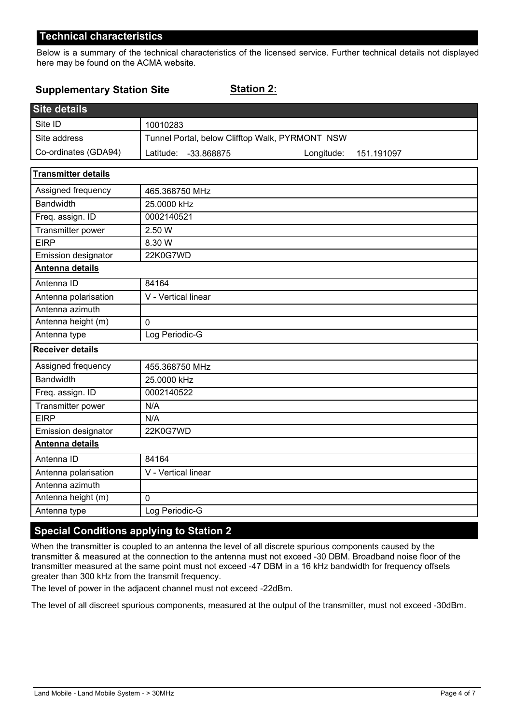Below is a summary of the technical characteristics of the licensed service. Further technical details not displayed here may be found on the ACMA website.

#### **Supplementary Station Site**

**Station 2:**

| <b>Site details</b>        |                                                     |  |  |  |
|----------------------------|-----------------------------------------------------|--|--|--|
| Site ID                    | 10010283                                            |  |  |  |
| Site address               | Tunnel Portal, below Clifftop Walk, PYRMONT NSW     |  |  |  |
| Co-ordinates (GDA94)       | Latitude:<br>-33.868875<br>Longitude:<br>151.191097 |  |  |  |
| <b>Transmitter details</b> |                                                     |  |  |  |
| Assigned frequency         | 465.368750 MHz                                      |  |  |  |
| <b>Bandwidth</b>           | 25.0000 kHz                                         |  |  |  |
| Freq. assign. ID           | 0002140521                                          |  |  |  |
| Transmitter power          | 2.50 W                                              |  |  |  |
| <b>EIRP</b>                | 8.30 W                                              |  |  |  |
| Emission designator        | 22K0G7WD                                            |  |  |  |
| Antenna details            |                                                     |  |  |  |
| Antenna ID                 | 84164                                               |  |  |  |
| Antenna polarisation       | V - Vertical linear                                 |  |  |  |
| Antenna azimuth            |                                                     |  |  |  |
| Antenna height (m)         | $\Omega$                                            |  |  |  |
| Antenna type               | Log Periodic-G                                      |  |  |  |
| <b>Receiver details</b>    |                                                     |  |  |  |
| Assigned frequency         | 455.368750 MHz                                      |  |  |  |
| <b>Bandwidth</b>           | 25.0000 kHz                                         |  |  |  |
| Freq. assign. ID           | 0002140522                                          |  |  |  |
| Transmitter power          | N/A                                                 |  |  |  |
| <b>EIRP</b>                | N/A                                                 |  |  |  |
| Emission designator        | 22K0G7WD                                            |  |  |  |
| <b>Antenna details</b>     |                                                     |  |  |  |
| Antenna ID                 | 84164                                               |  |  |  |
| Antenna polarisation       | V - Vertical linear                                 |  |  |  |
| Antenna azimuth            |                                                     |  |  |  |
| Antenna height (m)         | $\Omega$                                            |  |  |  |
| Antenna type               | Log Periodic-G                                      |  |  |  |

# **Special Conditions applying to Station 2**

When the transmitter is coupled to an antenna the level of all discrete spurious components caused by the transmitter & measured at the connection to the antenna must not exceed -30 DBM. Broadband noise floor of the transmitter measured at the same point must not exceed -47 DBM in a 16 kHz bandwidth for frequency offsets greater than 300 kHz from the transmit frequency.

The level of power in the adjacent channel must not exceed -22dBm.

The level of all discreet spurious components, measured at the output of the transmitter, must not exceed -30dBm.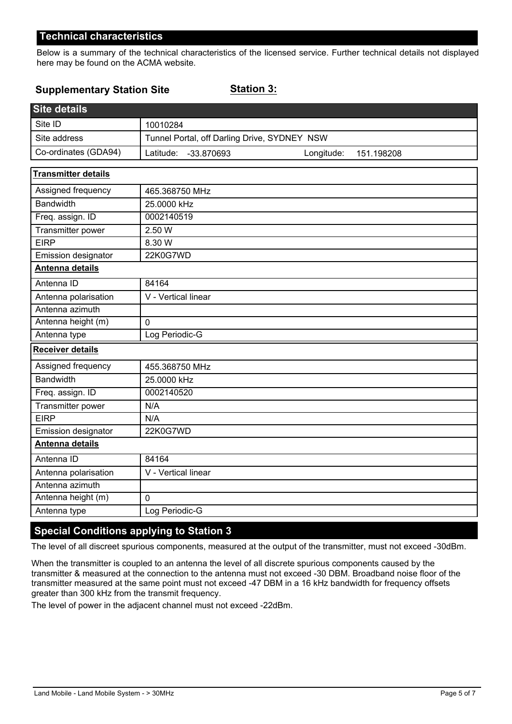Below is a summary of the technical characteristics of the licensed service. Further technical details not displayed here may be found on the ACMA website.

#### **Supplementary Station Site**

**Station 3:**

| <b>Site details</b>        |                                                     |
|----------------------------|-----------------------------------------------------|
| Site ID                    | 10010284                                            |
| Site address               | Tunnel Portal, off Darling Drive, SYDNEY NSW        |
| Co-ordinates (GDA94)       | Latitude:<br>-33.870693<br>Longitude:<br>151.198208 |
| <b>Transmitter details</b> |                                                     |
| Assigned frequency         | 465.368750 MHz                                      |
| <b>Bandwidth</b>           | 25.0000 kHz                                         |
| Freq. assign. ID           | 0002140519                                          |
| Transmitter power          | 2.50 W                                              |
| <b>EIRP</b>                | 8.30 W                                              |
| Emission designator        | 22K0G7WD                                            |
| Antenna details            |                                                     |
| Antenna ID                 | 84164                                               |
| Antenna polarisation       | V - Vertical linear                                 |
| Antenna azimuth            |                                                     |
| Antenna height (m)         | $\mathbf 0$                                         |
| Antenna type               | Log Periodic-G                                      |
| <b>Receiver details</b>    |                                                     |
| Assigned frequency         | 455.368750 MHz                                      |
| <b>Bandwidth</b>           | 25.0000 kHz                                         |
| Freq. assign. ID           | 0002140520                                          |
| Transmitter power          | N/A                                                 |
| <b>EIRP</b>                | N/A                                                 |
| Emission designator        | 22K0G7WD                                            |
| Antenna details            |                                                     |
| Antenna ID                 | 84164                                               |
| Antenna polarisation       | V - Vertical linear                                 |
| Antenna azimuth            |                                                     |
| Antenna height (m)         | $\mathbf 0$                                         |
| Antenna type               | Log Periodic-G                                      |

### **Special Conditions applying to Station 3**

The level of all discreet spurious components, measured at the output of the transmitter, must not exceed -30dBm.

When the transmitter is coupled to an antenna the level of all discrete spurious components caused by the transmitter & measured at the connection to the antenna must not exceed -30 DBM. Broadband noise floor of the transmitter measured at the same point must not exceed -47 DBM in a 16 kHz bandwidth for frequency offsets greater than 300 kHz from the transmit frequency.

The level of power in the adjacent channel must not exceed -22dBm.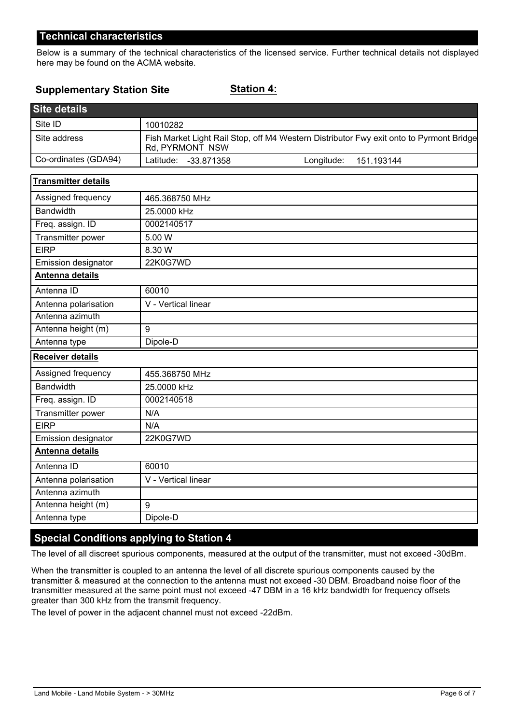Below is a summary of the technical characteristics of the licensed service. Further technical details not displayed here may be found on the ACMA website.

#### **Supplementary Station Site**

**Station 4:**

| <b>Site details</b>        |                         |            |                                                                                         |
|----------------------------|-------------------------|------------|-----------------------------------------------------------------------------------------|
| Site ID                    | 10010282                |            |                                                                                         |
| Site address               | Rd, PYRMONT NSW         |            | Fish Market Light Rail Stop, off M4 Western Distributor Fwy exit onto to Pyrmont Bridge |
| Co-ordinates (GDA94)       | Latitude:<br>-33.871358 | Longitude: | 151.193144                                                                              |
| <b>Transmitter details</b> |                         |            |                                                                                         |
| Assigned frequency         | 465.368750 MHz          |            |                                                                                         |
| <b>Bandwidth</b>           | 25.0000 kHz             |            |                                                                                         |
| Freq. assign. ID           | 0002140517              |            |                                                                                         |
| Transmitter power          | 5.00 W                  |            |                                                                                         |
| <b>EIRP</b>                | 8.30 W                  |            |                                                                                         |
| Emission designator        | 22K0G7WD                |            |                                                                                         |
| Antenna details            |                         |            |                                                                                         |
| Antenna ID                 | 60010                   |            |                                                                                         |
| Antenna polarisation       | V - Vertical linear     |            |                                                                                         |
| Antenna azimuth            |                         |            |                                                                                         |
| Antenna height (m)         | 9                       |            |                                                                                         |
| Antenna type               | Dipole-D                |            |                                                                                         |
| <b>Receiver details</b>    |                         |            |                                                                                         |
| Assigned frequency         | 455.368750 MHz          |            |                                                                                         |
| <b>Bandwidth</b>           | 25.0000 kHz             |            |                                                                                         |
| Freq. assign. ID           | 0002140518              |            |                                                                                         |
| <b>Transmitter power</b>   | N/A                     |            |                                                                                         |
| <b>EIRP</b>                | N/A                     |            |                                                                                         |
| Emission designator        | 22K0G7WD                |            |                                                                                         |
| Antenna details            |                         |            |                                                                                         |
| Antenna ID                 | 60010                   |            |                                                                                         |
| Antenna polarisation       | V - Vertical linear     |            |                                                                                         |
| Antenna azimuth            |                         |            |                                                                                         |
| Antenna height (m)         | 9                       |            |                                                                                         |
| Antenna type               | Dipole-D                |            |                                                                                         |

### **Special Conditions applying to Station 4**

The level of all discreet spurious components, measured at the output of the transmitter, must not exceed -30dBm.

When the transmitter is coupled to an antenna the level of all discrete spurious components caused by the transmitter & measured at the connection to the antenna must not exceed -30 DBM. Broadband noise floor of the transmitter measured at the same point must not exceed -47 DBM in a 16 kHz bandwidth for frequency offsets greater than 300 kHz from the transmit frequency.

The level of power in the adjacent channel must not exceed -22dBm.